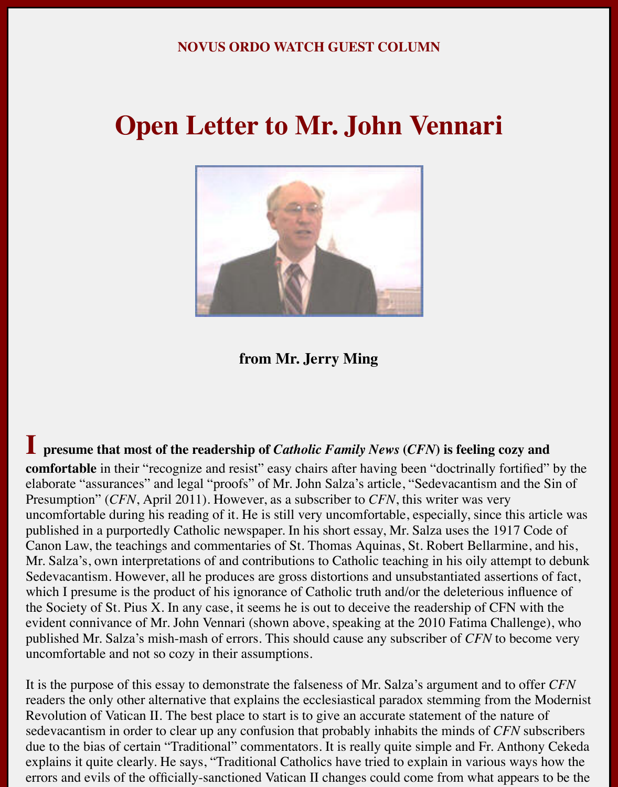#### **NOVUS ORDO WATCH GUEST COLUMN**

## **Open Letter to Mr. John Vennari**



**from Mr. Jerry Ming**

**I** presume that most of the readership of *Catholic Family News* (*CFN*) is feeling cozy and **comfortable** in their "recognize and resist" easy chairs after having been "doctrinally fortified" by the elaborate "assurances" and legal "proofs" of Mr. John Salza's article, "Sedevacantism and the Sin of Presumption" (*CFN*, April 2011). However, as a subscriber to *CFN*, this writer was very uncomfortable during his reading of it. He is still very uncomfortable, especially, since this article was published in a purportedly Catholic newspaper. In his short essay, Mr. Salza uses the 1917 Code of Canon Law, the teachings and commentaries of St. Thomas Aquinas, St. Robert Bellarmine, and his, Mr. Salza's, own interpretations of and contributions to Catholic teaching in his oily attempt to debunk Sedevacantism. However, all he produces are gross distortions and unsubstantiated assertions of fact, which I presume is the product of his ignorance of Catholic truth and/or the deleterious influence of the Society of St. Pius X. In any case, it seems he is out to deceive the readership of CFN with the evident connivance of Mr. John Vennari (shown above, speaking at the 2010 Fatima Challenge), who published Mr. Salza's mish-mash of errors. This should cause any subscriber of *CFN* to become very uncomfortable and not so cozy in their assumptions.

It is the purpose of this essay to demonstrate the falseness of Mr. Salza's argument and to offer *CFN* readers the only other alternative that explains the ecclesiastical paradox stemming from the Modernist Revolution of Vatican II. The best place to start is to give an accurate statement of the nature of sedevacantism in order to clear up any confusion that probably inhabits the minds of *CFN* subscribers due to the bias of certain "Traditional" commentators. It is really quite simple and Fr. Anthony Cekeda explains it quite clearly. He says, "Traditional Catholics have tried to explain in various ways how the errors and evils of the officially-sanctioned Vatican II changes could come from what appears to be the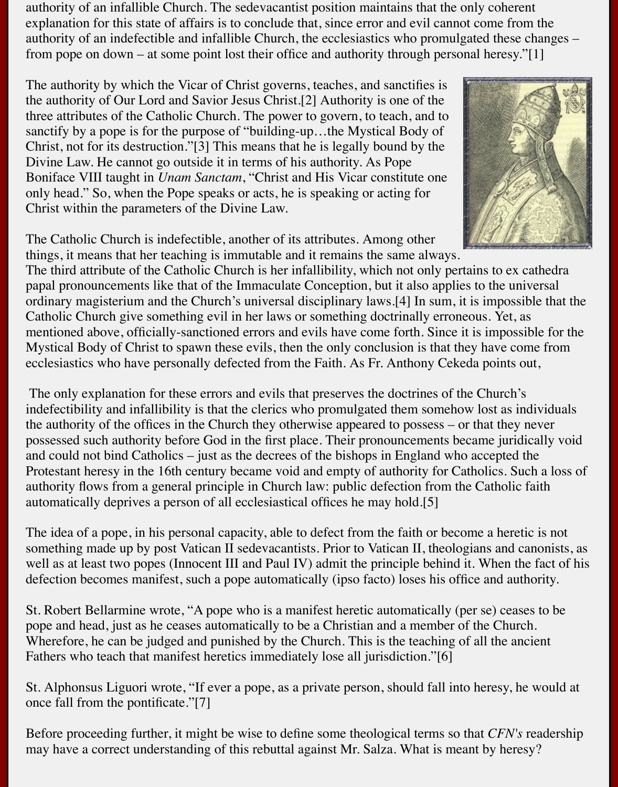authority of an infallible Church. The sedevacantist position maintains that the only coherent explanation for this state of affairs is to conclude that, since error and evil cannot come from the authority of an indefectible and infallible Church, the ecclesiastics who promulgated these changes – from pope on down – at some point lost their office and authority through personal heresy."[1]

The authority by which the Vicar of Christ governs, teaches, and sanctifies is the authority of Our Lord and Savior Jesus Christ.[2] Authority is one of the three attributes of the Catholic Church. The power to govern, to teach, and to sanctify by a pope is for the purpose of "building-up…the Mystical Body of Christ, not for its destruction."[3] This means that he is legally bound by the Divine Law. He cannot go outside it in terms of his authority. As Pope Boniface VIII taught in *Unam Sanctam*, "Christ and His Vicar constitute one only head." So, when the Pope speaks or acts, he is speaking or acting for Christ within the parameters of the Divine Law.



The Catholic Church is indefectible, another of its attributes. Among other things, it means that her teaching is immutable and it remains the same always.

The third attribute of the Catholic Church is her infallibility, which not only pertains to ex cathedra papal pronouncements like that of the Immaculate Conception, but it also applies to the universal ordinary magisterium and the Church's universal disciplinary laws.[4] In sum, it is impossible that the Catholic Church give something evil in her laws or something doctrinally erroneous. Yet, as mentioned above, officially-sanctioned errors and evils have come forth. Since it is impossible for the Mystical Body of Christ to spawn these evils, then the only conclusion is that they have come from ecclesiastics who have personally defected from the Faith. As Fr. Anthony Cekeda points out,

 The only explanation for these errors and evils that preserves the doctrines of the Church's indefectibility and infallibility is that the clerics who promulgated them somehow lost as individuals the authority of the offices in the Church they otherwise appeared to possess – or that they never possessed such authority before God in the first place. Their pronouncements became juridically void and could not bind Catholics – just as the decrees of the bishops in England who accepted the Protestant heresy in the 16th century became void and empty of authority for Catholics. Such a loss of authority flows from a general principle in Church law: public defection from the Catholic faith automatically deprives a person of all ecclesiastical offices he may hold.[5]

The idea of a pope, in his personal capacity, able to defect from the faith or become a heretic is not something made up by post Vatican II sedevacantists. Prior to Vatican II, theologians and canonists, as well as at least two popes (Innocent III and Paul IV) admit the principle behind it. When the fact of his defection becomes manifest, such a pope automatically (ipso facto) loses his office and authority.

St. Robert Bellarmine wrote, "A pope who is a manifest heretic automatically (per se) ceases to be pope and head, just as he ceases automatically to be a Christian and a member of the Church. Wherefore, he can be judged and punished by the Church. This is the teaching of all the ancient Fathers who teach that manifest heretics immediately lose all jurisdiction."[6]

St. Alphonsus Liguori wrote, "If ever a pope, as a private person, should fall into heresy, he would at once fall from the pontificate."[7]

Before proceeding further, it might be wise to define some theological terms so that *CFN's* readership may have a correct understanding of this rebuttal against Mr. Salza. What is meant by heresy?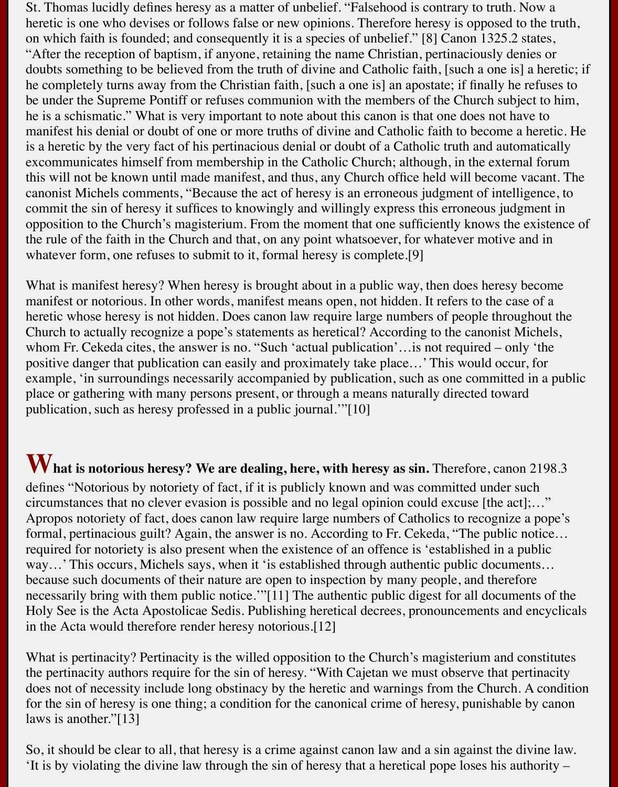St. Thomas lucidly defines heresy as a matter of unbelief. "Falsehood is contrary to truth. Now a heretic is one who devises or follows false or new opinions. Therefore heresy is opposed to the truth, on which faith is founded; and consequently it is a species of unbelief." [8] Canon 1325.2 states, "After the reception of baptism, if anyone, retaining the name Christian, pertinaciously denies or doubts something to be believed from the truth of divine and Catholic faith, [such a one is] a heretic; if he completely turns away from the Christian faith, [such a one is] an apostate; if finally he refuses to be under the Supreme Pontiff or refuses communion with the members of the Church subject to him, he is a schismatic." What is very important to note about this canon is that one does not have to manifest his denial or doubt of one or more truths of divine and Catholic faith to become a heretic. He is a heretic by the very fact of his pertinacious denial or doubt of a Catholic truth and automatically excommunicates himself from membership in the Catholic Church; although, in the external forum this will not be known until made manifest, and thus, any Church office held will become vacant. The canonist Michels comments, "Because the act of heresy is an erroneous judgment of intelligence, to commit the sin of heresy it suffices to knowingly and willingly express this erroneous judgment in opposition to the Church's magisterium. From the moment that one sufficiently knows the existence of the rule of the faith in the Church and that, on any point whatsoever, for whatever motive and in whatever form, one refuses to submit to it, formal heresy is complete.<sup>[9]</sup>

What is manifest heresy? When heresy is brought about in a public way, then does heresy become manifest or notorious. In other words, manifest means open, not hidden. It refers to the case of a heretic whose heresy is not hidden. Does canon law require large numbers of people throughout the Church to actually recognize a pope's statements as heretical? According to the canonist Michels, whom Fr. Cekeda cites, the answer is no. "Such 'actual publication'…is not required – only 'the positive danger that publication can easily and proximately take place…' This would occur, for example, 'in surroundings necessarily accompanied by publication, such as one committed in a public place or gathering with many persons present, or through a means naturally directed toward publication, such as heresy professed in a public journal.'"[10]

W hat is notorious heresy? We are dealing, here, with heresy as sin. Therefore, canon 2198.3 defines "Notorious by notoriety of fact, if it is publicly known and was committed under such circumstances that no clever evasion is possible and no legal opinion could excuse [the act];…" Apropos notoriety of fact, does canon law require large numbers of Catholics to recognize a pope's formal, pertinacious guilt? Again, the answer is no. According to Fr. Cekeda, "The public notice… required for notoriety is also present when the existence of an offence is 'established in a public way...' This occurs, Michels says, when it 'is established through authentic public documents... because such documents of their nature are open to inspection by many people, and therefore necessarily bring with them public notice.'"[11] The authentic public digest for all documents of the Holy See is the Acta Apostolicae Sedis. Publishing heretical decrees, pronouncements and encyclicals in the Acta would therefore render heresy notorious.[12]

What is pertinacity? Pertinacity is the willed opposition to the Church's magisterium and constitutes the pertinacity authors require for the sin of heresy. "With Cajetan we must observe that pertinacity does not of necessity include long obstinacy by the heretic and warnings from the Church. A condition for the sin of heresy is one thing; a condition for the canonical crime of heresy, punishable by canon laws is another."[13]

So, it should be clear to all, that heresy is a crime against canon law and a sin against the divine law. 'It is by violating the divine law through the sin of heresy that a heretical pope loses his authority –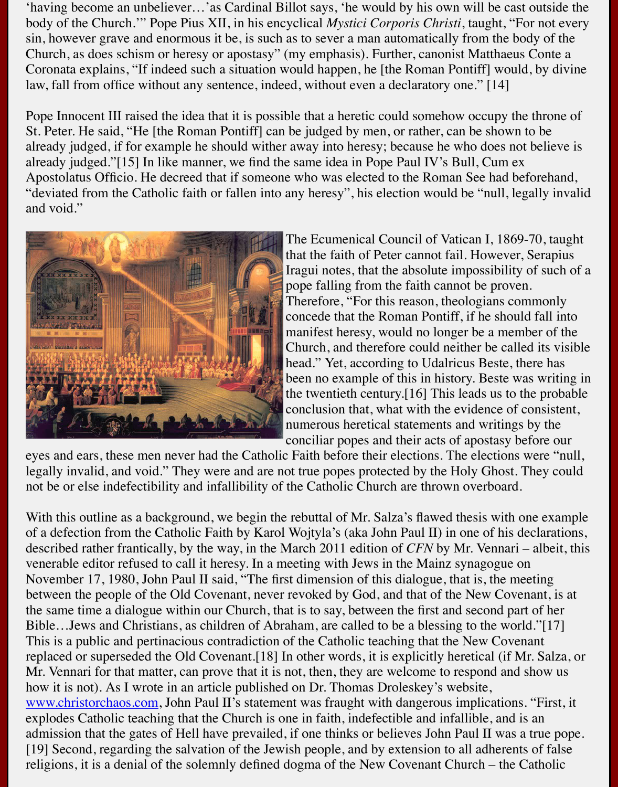Pope Innocent III raised the idea that it is possible that a heretic could somehow occupy the St. Peter. He said, "He [the Roman Pontiff] can be judged by men, or rather, can be shown already judged, if for example he should wither away into heresy; because he who does not already judged."[15] In like manner, we find the same idea in Pope Paul IV's Bull, Cum ex Apostolatus Officio. He decreed that if someone who was elected to the Roman See had be "deviated from the Catholic faith or fallen into any heresy", his election would be "null, legand void."



The Ecumenical Council of Vatican I, 1869 that the faith of Peter cannot fail. However, Iragui notes, that the absolute impossibility pope falling from the faith cannot be prover. Therefore, "For this reason, theologians conconcede that the Roman Pontiff, if he shoul manifest heresy, would no longer be a mem Church, and therefore could neither be called its visible. head." Yet, according to Udalricus Beste, the been no example of this in history. Beste was the twentieth century. [16] This leads us to the probability of the probability  $\frac{1}{2}$  for  $\frac{1}{2}$  for  $\frac{1}{2}$  for  $\frac{1}{2}$  for  $\frac{1}{2}$  for  $\frac{1}{2}$  for  $\frac{1}{2}$  for  $\frac{1}{2}$  for  $\frac{1}{2}$  for  $\frac{1}{2}$  for conclusion that, what with the evidence of consistent numerous heretical statements and writings conciliar popes and their acts of apostasy be

eyes and ears, these men never had the Catholic Faith before their elections. The elections w legally invalid, and void." They were and are not true popes protected by the Holy Ghost. They could regard to not be or else indefectibility and infallibility of the Catholic Church are thrown overboard.

With this outline as a background, we begin the rebuttal of Mr. Salza's flawed thesis with one of a defection from the Catholic Faith by Karol Wojtyla's (aka John Paul II) in one of his d described rather frantically, by the way, in the March 2011 edition of *CFN* by Mr. Vennari venerable editor refused to call it heresy. In a meeting with Jews in the Mainz synagogue on November 17, 1980, John Paul II said, "The first dimension of this dialogue, that is, the me between the people of the Old Covenant, never revoked by God, and that of the New Cover the same time a dialogue within our Church, that is to say, between the first and second par Bible…Jews and Christians, as children of Abraham, are called to be a blessing to the worl This is a public and pertinacious contradiction of the Catholic teaching that the New Cover replaced or superseded the Old Covenant.[18] In other words, it is explicitly heretical (if M Mr. Vennari for that matter, can prove that it is not, then, they are welcome to respond and how it is not). As I wrote in an article published on Dr. Thomas Droleskey's website, www.christorchaos.com, John Paul II's statement was fraught with dangerous implications. explodes Catholic teaching that the Church is one in faith, indefectible and infallible, and is admission that the gates of Hell have prevailed, if one thinks or believes John Paul II was a [19] Second, regarding the salvation of the Jewish people, and by extension to all adherents religions, it is a denial of the solemnly defined dogma of the New Covenant Church – the C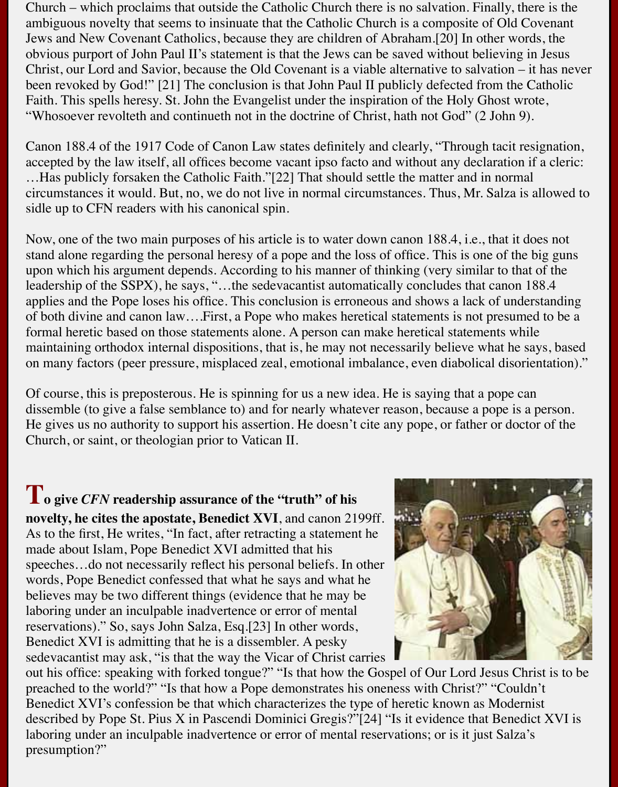Church – which proclaims that outside the Catholic Church there is no salvation. Finally, there is the ambiguous novelty that seems to insinuate that the Catholic Church is a composite of Old Covenant Jews and New Covenant Catholics, because they are children of Abraham.[20] In other words, the obvious purport of John Paul II's statement is that the Jews can be saved without believing in Jesus Christ, our Lord and Savior, because the Old Covenant is a viable alternative to salvation – it has never been revoked by God!" [21] The conclusion is that John Paul II publicly defected from the Catholic Faith. This spells heresy. St. John the Evangelist under the inspiration of the Holy Ghost wrote, "Whosoever revolteth and continueth not in the doctrine of Christ, hath not God" (2 John 9).

Canon 188.4 of the 1917 Code of Canon Law states definitely and clearly, "Through tacit resignation, accepted by the law itself, all offices become vacant ipso facto and without any declaration if a cleric: …Has publicly forsaken the Catholic Faith."[22] That should settle the matter and in normal circumstances it would. But, no, we do not live in normal circumstances. Thus, Mr. Salza is allowed to sidle up to CFN readers with his canonical spin.

Now, one of the two main purposes of his article is to water down canon 188.4, i.e., that it does not stand alone regarding the personal heresy of a pope and the loss of office. This is one of the big guns upon which his argument depends. According to his manner of thinking (very similar to that of the leadership of the SSPX), he says, "…the sedevacantist automatically concludes that canon 188.4 applies and the Pope loses his office. This conclusion is erroneous and shows a lack of understanding of both divine and canon law….First, a Pope who makes heretical statements is not presumed to be a formal heretic based on those statements alone. A person can make heretical statements while maintaining orthodox internal dispositions, that is, he may not necessarily believe what he says, based on many factors (peer pressure, misplaced zeal, emotional imbalance, even diabolical disorientation)."

Of course, this is preposterous. He is spinning for us a new idea. He is saying that a pope can dissemble (to give a false semblance to) and for nearly whatever reason, because a pope is a person. He gives us no authority to support his assertion. He doesn't cite any pope, or father or doctor of the Church, or saint, or theologian prior to Vatican II.

**To give** *CFN* **readership assurance of the "truth" of his novelty, he cites the apostate, Benedict XVI**, and canon 2199ff. As to the first, He writes, "In fact, after retracting a statement he made about Islam, Pope Benedict XVI admitted that his speeches…do not necessarily reflect his personal beliefs. In other words, Pope Benedict confessed that what he says and what he believes may be two different things (evidence that he may be laboring under an inculpable inadvertence or error of mental reservations)." So, says John Salza, Esq.[23] In other words, Benedict XVI is admitting that he is a dissembler. A pesky sedevacantist may ask, "is that the way the Vicar of Christ carries



out his office: speaking with forked tongue?" "Is that how the Gospel of Our Lord Jesus Christ is to be preached to the world?" "Is that how a Pope demonstrates his oneness with Christ?" "Couldn't Benedict XVI's confession be that which characterizes the type of heretic known as Modernist described by Pope St. Pius X in Pascendi Dominici Gregis?"[24] "Is it evidence that Benedict XVI is laboring under an inculpable inadvertence or error of mental reservations; or is it just Salza's presumption?"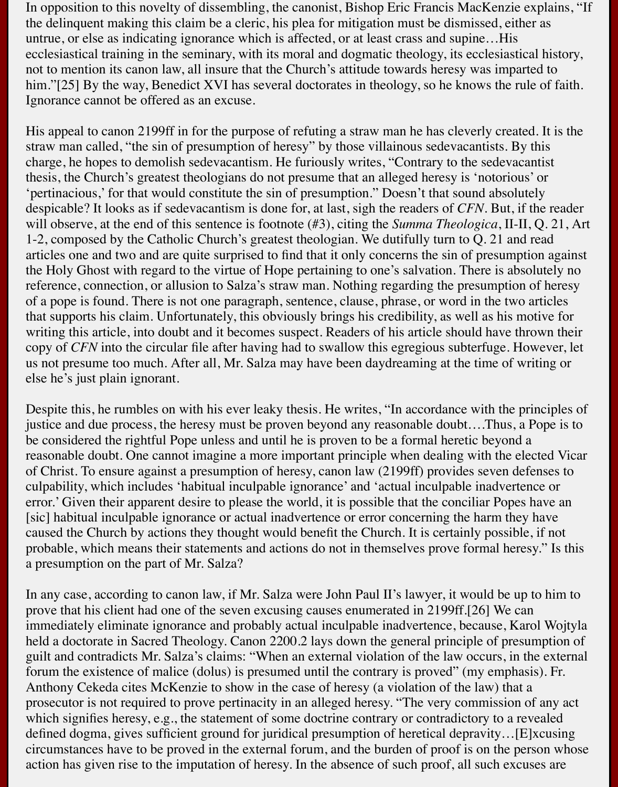In opposition to this novelty of dissembling, the canonist, Bishop Eric Francis MacKenzie explains, "If the delinquent making this claim be a cleric, his plea for mitigation must be dismissed, either as untrue, or else as indicating ignorance which is affected, or at least crass and supine…His ecclesiastical training in the seminary, with its moral and dogmatic theology, its ecclesiastical history, not to mention its canon law, all insure that the Church's attitude towards heresy was imparted to him."[25] By the way, Benedict XVI has several doctorates in theology, so he knows the rule of faith. Ignorance cannot be offered as an excuse.

His appeal to canon 2199ff in for the purpose of refuting a straw man he has cleverly created. It is the straw man called, "the sin of presumption of heresy" by those villainous sedevacantists. By this charge, he hopes to demolish sedevacantism. He furiously writes, "Contrary to the sedevacantist thesis, the Church's greatest theologians do not presume that an alleged heresy is 'notorious' or 'pertinacious,' for that would constitute the sin of presumption." Doesn't that sound absolutely despicable? It looks as if sedevacantism is done for, at last, sigh the readers of *CFN*. But, if the reader will observe, at the end of this sentence is footnote (#3), citing the *Summa Theologica*, II-II, Q. 21, Art 1-2, composed by the Catholic Church's greatest theologian. We dutifully turn to Q. 21 and read articles one and two and are quite surprised to find that it only concerns the sin of presumption against the Holy Ghost with regard to the virtue of Hope pertaining to one's salvation. There is absolutely no reference, connection, or allusion to Salza's straw man. Nothing regarding the presumption of heresy of a pope is found. There is not one paragraph, sentence, clause, phrase, or word in the two articles that supports his claim. Unfortunately, this obviously brings his credibility, as well as his motive for writing this article, into doubt and it becomes suspect. Readers of his article should have thrown their copy of *CFN* into the circular file after having had to swallow this egregious subterfuge. However, let us not presume too much. After all, Mr. Salza may have been daydreaming at the time of writing or else he's just plain ignorant.

Despite this, he rumbles on with his ever leaky thesis. He writes, "In accordance with the principles of justice and due process, the heresy must be proven beyond any reasonable doubt….Thus, a Pope is to be considered the rightful Pope unless and until he is proven to be a formal heretic beyond a reasonable doubt. One cannot imagine a more important principle when dealing with the elected Vicar of Christ. To ensure against a presumption of heresy, canon law (2199ff) provides seven defenses to culpability, which includes 'habitual inculpable ignorance' and 'actual inculpable inadvertence or error.' Given their apparent desire to please the world, it is possible that the conciliar Popes have an [sic] habitual inculpable ignorance or actual inadvertence or error concerning the harm they have caused the Church by actions they thought would benefit the Church. It is certainly possible, if not probable, which means their statements and actions do not in themselves prove formal heresy." Is this a presumption on the part of Mr. Salza?

In any case, according to canon law, if Mr. Salza were John Paul II's lawyer, it would be up to him to prove that his client had one of the seven excusing causes enumerated in 2199ff.[26] We can immediately eliminate ignorance and probably actual inculpable inadvertence, because, Karol Wojtyla held a doctorate in Sacred Theology. Canon 2200.2 lays down the general principle of presumption of guilt and contradicts Mr. Salza's claims: "When an external violation of the law occurs, in the external forum the existence of malice (dolus) is presumed until the contrary is proved" (my emphasis). Fr. Anthony Cekeda cites McKenzie to show in the case of heresy (a violation of the law) that a prosecutor is not required to prove pertinacity in an alleged heresy. "The very commission of any act which signifies heresy, e.g., the statement of some doctrine contrary or contradictory to a revealed defined dogma, gives sufficient ground for juridical presumption of heretical depravity…[E]xcusing circumstances have to be proved in the external forum, and the burden of proof is on the person whose action has given rise to the imputation of heresy. In the absence of such proof, all such excuses are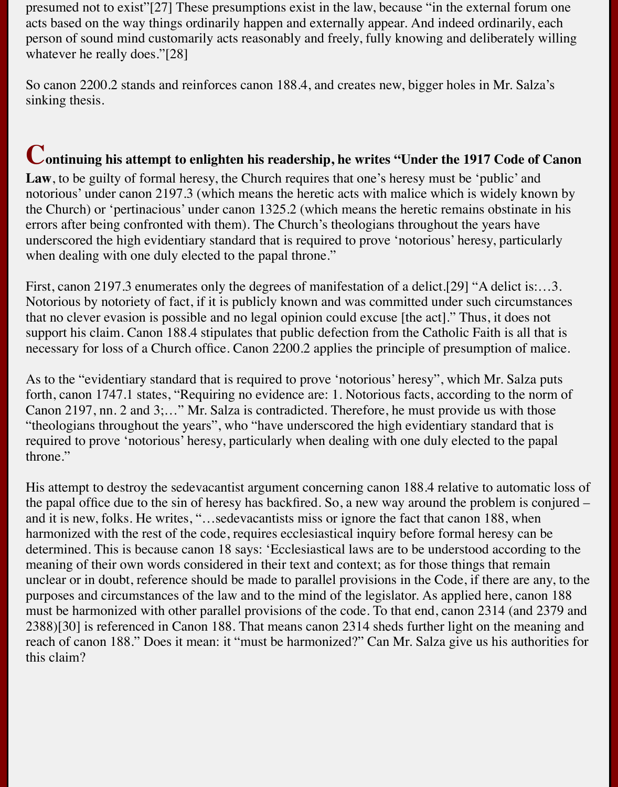presumed not to exist"[27] These presumptions exist in the law, because "in the external forum one acts based on the way things ordinarily happen and externally appear. And indeed ordinarily, each person of sound mind customarily acts reasonably and freely, fully knowing and deliberately willing whatever he really does."[28]

So canon 2200.2 stands and reinforces canon 188.4, and creates new, bigger holes in Mr. Salza's sinking thesis.

### **Continuing his attempt to enlighten his readership, he writes "Under the 1917 Code of Canon**

Law, to be guilty of formal heresy, the Church requires that one's heresy must be 'public' and notorious' under canon 2197.3 (which means the heretic acts with malice which is widely known by the Church) or 'pertinacious' under canon 1325.2 (which means the heretic remains obstinate in his errors after being confronted with them). The Church's theologians throughout the years have underscored the high evidentiary standard that is required to prove 'notorious' heresy, particularly when dealing with one duly elected to the papal throne."

First, canon 2197.3 enumerates only the degrees of manifestation of a delict.[29] "A delict is:…3. Notorious by notoriety of fact, if it is publicly known and was committed under such circumstances that no clever evasion is possible and no legal opinion could excuse [the act]." Thus, it does not support his claim. Canon 188.4 stipulates that public defection from the Catholic Faith is all that is necessary for loss of a Church office. Canon 2200.2 applies the principle of presumption of malice.

As to the "evidentiary standard that is required to prove 'notorious' heresy", which Mr. Salza puts forth, canon 1747.1 states, "Requiring no evidence are: 1. Notorious facts, according to the norm of Canon 2197, nn. 2 and 3;…" Mr. Salza is contradicted. Therefore, he must provide us with those "theologians throughout the years", who "have underscored the high evidentiary standard that is required to prove 'notorious' heresy, particularly when dealing with one duly elected to the papal throne."

His attempt to destroy the sedevacantist argument concerning canon 188.4 relative to automatic loss of the papal office due to the sin of heresy has backfired. So, a new way around the problem is conjured – and it is new, folks. He writes, "…sedevacantists miss or ignore the fact that canon 188, when harmonized with the rest of the code, requires ecclesiastical inquiry before formal heresy can be determined. This is because canon 18 says: 'Ecclesiastical laws are to be understood according to the meaning of their own words considered in their text and context; as for those things that remain unclear or in doubt, reference should be made to parallel provisions in the Code, if there are any, to the purposes and circumstances of the law and to the mind of the legislator. As applied here, canon 188 must be harmonized with other parallel provisions of the code. To that end, canon 2314 (and 2379 and 2388)[30] is referenced in Canon 188. That means canon 2314 sheds further light on the meaning and reach of canon 188." Does it mean: it "must be harmonized?" Can Mr. Salza give us his authorities for this claim?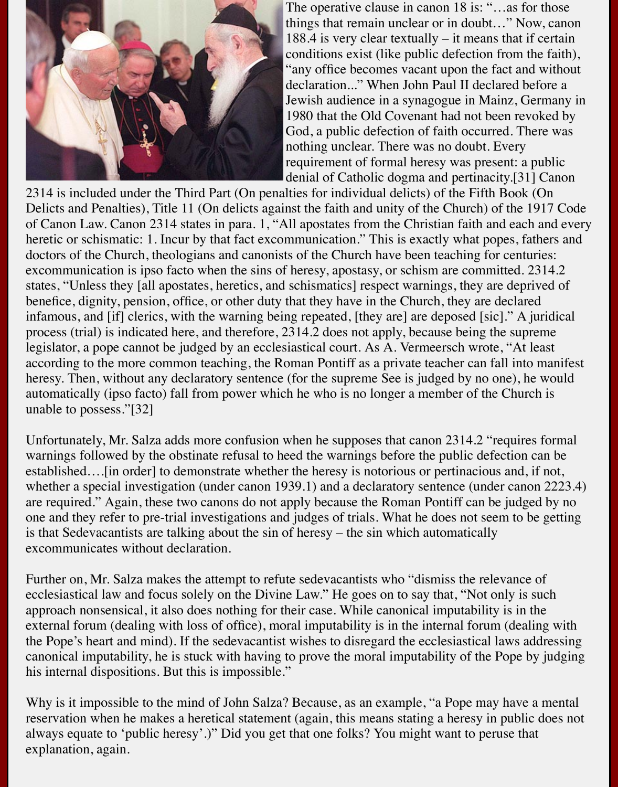

The operative clause in canon 18 is: "...as for those things that remain unclear or in doubt…" Now, canon 188.4 is very clear textually – it means that if certain conditions exist (like public defection from the faith), "any office becomes vacant upon the fact and without declaration..." When John Paul II declared before a Jewish audience in a synagogue in Mainz, Germany in 1980 that the Old Covenant had not been revoked by God, a public defection of faith occurred. There was nothing unclear. There was no doubt. Every requirement of formal heresy was present: a public denial of Catholic dogma and pertinacity.[31] Canon

2314 is included under the Third Part (On penalties for individual delicts) of the Fifth Book (On Delicts and Penalties), Title 11 (On delicts against the faith and unity of the Church) of the 1917 Code of Canon Law. Canon 2314 states in para. 1, "All apostates from the Christian faith and each and every heretic or schismatic: 1. Incur by that fact excommunication." This is exactly what popes, fathers and doctors of the Church, theologians and canonists of the Church have been teaching for centuries: excommunication is ipso facto when the sins of heresy, apostasy, or schism are committed. 2314.2 states, "Unless they [all apostates, heretics, and schismatics] respect warnings, they are deprived of benefice, dignity, pension, office, or other duty that they have in the Church, they are declared infamous, and [if] clerics, with the warning being repeated, [they are] are deposed [sic]." A juridical process (trial) is indicated here, and therefore, 2314.2 does not apply, because being the supreme legislator, a pope cannot be judged by an ecclesiastical court. As A. Vermeersch wrote, "At least according to the more common teaching, the Roman Pontiff as a private teacher can fall into manifest heresy. Then, without any declaratory sentence (for the supreme See is judged by no one), he would automatically (ipso facto) fall from power which he who is no longer a member of the Church is unable to possess."[32]

Unfortunately, Mr. Salza adds more confusion when he supposes that canon 2314.2 "requires formal warnings followed by the obstinate refusal to heed the warnings before the public defection can be established….[in order] to demonstrate whether the heresy is notorious or pertinacious and, if not, whether a special investigation (under canon 1939.1) and a declaratory sentence (under canon 2223.4) are required." Again, these two canons do not apply because the Roman Pontiff can be judged by no one and they refer to pre-trial investigations and judges of trials. What he does not seem to be getting is that Sedevacantists are talking about the sin of heresy – the sin which automatically excommunicates without declaration.

Further on, Mr. Salza makes the attempt to refute sedevacantists who "dismiss the relevance of ecclesiastical law and focus solely on the Divine Law." He goes on to say that, "Not only is such approach nonsensical, it also does nothing for their case. While canonical imputability is in the external forum (dealing with loss of office), moral imputability is in the internal forum (dealing with the Pope's heart and mind). If the sedevacantist wishes to disregard the ecclesiastical laws addressing canonical imputability, he is stuck with having to prove the moral imputability of the Pope by judging his internal dispositions. But this is impossible."

Why is it impossible to the mind of John Salza? Because, as an example, "a Pope may have a mental reservation when he makes a heretical statement (again, this means stating a heresy in public does not always equate to 'public heresy'.)" Did you get that one folks? You might want to peruse that explanation, again.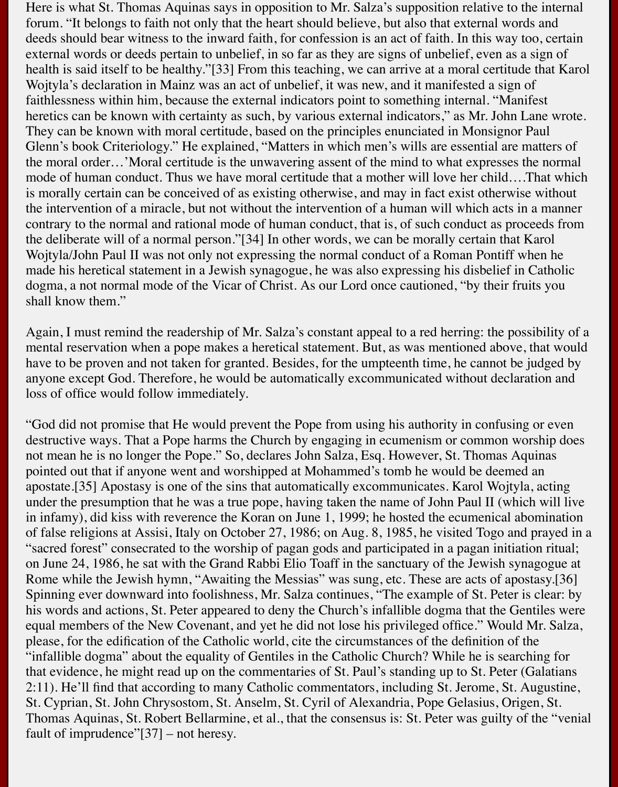Here is what St. Thomas Aquinas says in opposition to Mr. Salza's supposition relative to the internal forum. "It belongs to faith not only that the heart should believe, but also that external words and deeds should bear witness to the inward faith, for confession is an act of faith. In this way too, certain external words or deeds pertain to unbelief, in so far as they are signs of unbelief, even as a sign of health is said itself to be healthy."[33] From this teaching, we can arrive at a moral certitude that Karol Wojtyla's declaration in Mainz was an act of unbelief, it was new, and it manifested a sign of faithlessness within him, because the external indicators point to something internal. "Manifest heretics can be known with certainty as such, by various external indicators," as Mr. John Lane wrote. They can be known with moral certitude, based on the principles enunciated in Monsignor Paul Glenn's book Criteriology." He explained, "Matters in which men's wills are essential are matters of the moral order…'Moral certitude is the unwavering assent of the mind to what expresses the normal mode of human conduct. Thus we have moral certitude that a mother will love her child….That which is morally certain can be conceived of as existing otherwise, and may in fact exist otherwise without the intervention of a miracle, but not without the intervention of a human will which acts in a manner contrary to the normal and rational mode of human conduct, that is, of such conduct as proceeds from the deliberate will of a normal person."[34] In other words, we can be morally certain that Karol Wojtyla/John Paul II was not only not expressing the normal conduct of a Roman Pontiff when he made his heretical statement in a Jewish synagogue, he was also expressing his disbelief in Catholic dogma, a not normal mode of the Vicar of Christ. As our Lord once cautioned, "by their fruits you shall know them."

Again, I must remind the readership of Mr. Salza's constant appeal to a red herring: the possibility of a mental reservation when a pope makes a heretical statement. But, as was mentioned above, that would have to be proven and not taken for granted. Besides, for the umpteenth time, he cannot be judged by anyone except God. Therefore, he would be automatically excommunicated without declaration and loss of office would follow immediately.

"God did not promise that He would prevent the Pope from using his authority in confusing or even destructive ways. That a Pope harms the Church by engaging in ecumenism or common worship does not mean he is no longer the Pope." So, declares John Salza, Esq. However, St. Thomas Aquinas pointed out that if anyone went and worshipped at Mohammed's tomb he would be deemed an apostate.[35] Apostasy is one of the sins that automatically excommunicates. Karol Wojtyla, acting under the presumption that he was a true pope, having taken the name of John Paul II (which will live in infamy), did kiss with reverence the Koran on June 1, 1999; he hosted the ecumenical abomination of false religions at Assisi, Italy on October 27, 1986; on Aug. 8, 1985, he visited Togo and prayed in a "sacred forest" consecrated to the worship of pagan gods and participated in a pagan initiation ritual; on June 24, 1986, he sat with the Grand Rabbi Elio Toaff in the sanctuary of the Jewish synagogue at Rome while the Jewish hymn, "Awaiting the Messias" was sung, etc. These are acts of apostasy.[36] Spinning ever downward into foolishness, Mr. Salza continues, "The example of St. Peter is clear: by his words and actions, St. Peter appeared to deny the Church's infallible dogma that the Gentiles were equal members of the New Covenant, and yet he did not lose his privileged office." Would Mr. Salza, please, for the edification of the Catholic world, cite the circumstances of the definition of the "infallible dogma" about the equality of Gentiles in the Catholic Church? While he is searching for that evidence, he might read up on the commentaries of St. Paul's standing up to St. Peter (Galatians 2:11). He'll find that according to many Catholic commentators, including St. Jerome, St. Augustine, St. Cyprian, St. John Chrysostom, St. Anselm, St. Cyril of Alexandria, Pope Gelasius, Origen, St. Thomas Aquinas, St. Robert Bellarmine, et al., that the consensus is: St. Peter was guilty of the "venial fault of imprudence"[37] – not heresy.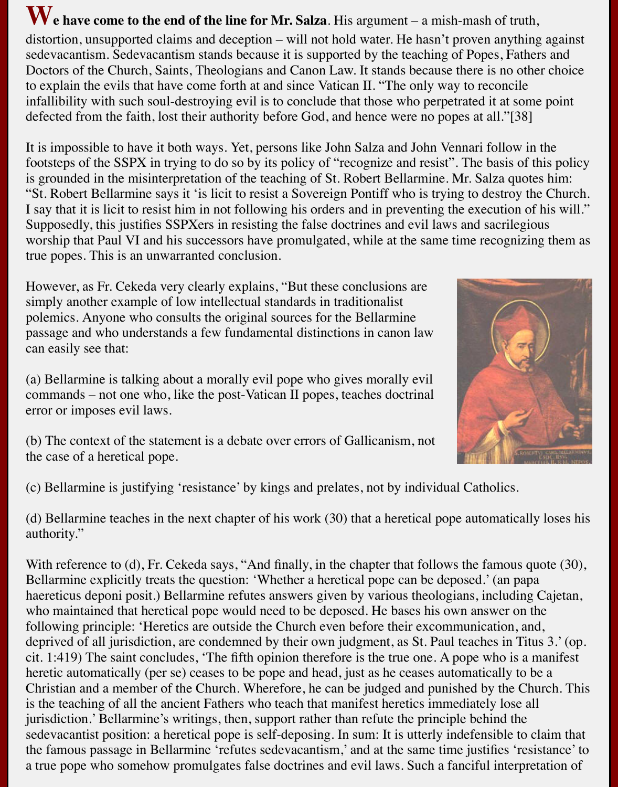# We have come to the end of the line for Mr. Salza. His argument – a mish-mash of truth,

distortion, unsupported claims and deception – will not hold water. He hasn't proven anything against sedevacantism. Sedevacantism stands because it is supported by the teaching of Popes, Fathers and Doctors of the Church, Saints, Theologians and Canon Law. It stands because there is no other choice to explain the evils that have come forth at and since Vatican II. "The only way to reconcile infallibility with such soul-destroying evil is to conclude that those who perpetrated it at some point defected from the faith, lost their authority before God, and hence were no popes at all."[38]

It is impossible to have it both ways. Yet, persons like John Salza and John Vennari follow in the footsteps of the SSPX in trying to do so by its policy of "recognize and resist". The basis of this policy is grounded in the misinterpretation of the teaching of St. Robert Bellarmine. Mr. Salza quotes him: "St. Robert Bellarmine says it 'is licit to resist a Sovereign Pontiff who is trying to destroy the Church. I say that it is licit to resist him in not following his orders and in preventing the execution of his will." Supposedly, this justifies SSPXers in resisting the false doctrines and evil laws and sacrilegious worship that Paul VI and his successors have promulgated, while at the same time recognizing them as true popes. This is an unwarranted conclusion.

However, as Fr. Cekeda very clearly explains, "But these conclusions are simply another example of low intellectual standards in traditionalist polemics. Anyone who consults the original sources for the Bellarmine passage and who understands a few fundamental distinctions in canon law can easily see that:

(a) Bellarmine is talking about a morally evil pope who gives morally evil commands – not one who, like the post-Vatican II popes, teaches doctrinal error or imposes evil laws.



(b) The context of the statement is a debate over errors of Gallicanism, not the case of a heretical pope.

(c) Bellarmine is justifying 'resistance' by kings and prelates, not by individual Catholics.

(d) Bellarmine teaches in the next chapter of his work (30) that a heretical pope automatically loses his authority."

With reference to (d), Fr. Cekeda says, "And finally, in the chapter that follows the famous quote (30), Bellarmine explicitly treats the question: 'Whether a heretical pope can be deposed.' (an papa haereticus deponi posit.) Bellarmine refutes answers given by various theologians, including Cajetan, who maintained that heretical pope would need to be deposed. He bases his own answer on the following principle: 'Heretics are outside the Church even before their excommunication, and, deprived of all jurisdiction, are condemned by their own judgment, as St. Paul teaches in Titus 3.' (op. cit. 1:419) The saint concludes, 'The fifth opinion therefore is the true one. A pope who is a manifest heretic automatically (per se) ceases to be pope and head, just as he ceases automatically to be a Christian and a member of the Church. Wherefore, he can be judged and punished by the Church. This is the teaching of all the ancient Fathers who teach that manifest heretics immediately lose all jurisdiction.' Bellarmine's writings, then, support rather than refute the principle behind the sedevacantist position: a heretical pope is self-deposing. In sum: It is utterly indefensible to claim that the famous passage in Bellarmine 'refutes sedevacantism,' and at the same time justifies 'resistance' to a true pope who somehow promulgates false doctrines and evil laws. Such a fanciful interpretation of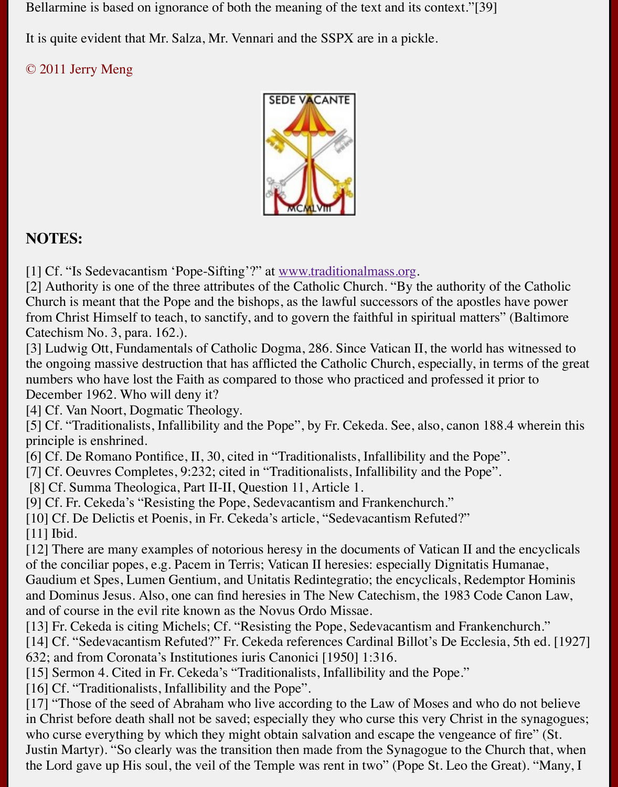

### **NOTES:**

[1] Cf. "Is Sedevacantism 'Pope-Sifting'?" at www.traditionalmass.org.

[2] Authority is one of the three attributes of the Catholic Church. "By the authority of the Church is meant that the Pope and the bishops, as the lawful successors of the apostles have from Christ Himself to teach, to sanctify, and to govern the faithful in spiritual matters" (Baltimore, and the faithful in spiritual matters" (Baltimore, and the faithful in spiritual matters" (Baltimore, and the faithful Catechism No. 3, para. 162.).

[3] Ludwig Ott, Fundamentals of Catholic Dogma, 286. Since Vatican II, the world has wit the ongoing massive destruction that has afflicted the Catholic Church, especially, in terms numbers who have lost the Faith as compared [to those who practiced an](http://www.traditionalmass.org/)d professed it prior December 1962. Who will deny it?

[4] Cf. Van Noort, Dogmatic Theology.

[5] Cf. "Traditionalists, Infallibility and the Pope", by Fr. Cekeda. See, also, canon 188.4 w principle is enshrined.

[6] Cf. De Romano Pontifice, II, 30, cited in "Traditionalists, Infallibility and the Pope".

[7] Cf. Oeuvres Completes, 9:232; cited in "Traditionalists, Infallibility and the Pope".

[8] Cf. Summa Theologica, Part II-II, Question 11, Article 1.

[9] Cf. Fr. Cekeda's "Resisting the Pope, Sedevacantism and Frankenchurch."

[10] Cf. De Delictis et Poenis, in Fr. Cekeda's article, "Sedevacantism Refuted?" [11] Ibid.

 $[12]$  There are many examples of notorious heresy in the documents of Vatican II and the e of the conciliar popes, e.g. Pacem in Terris; Vatican II heresies: especially Dignitatis Huma Gaudium et Spes, Lumen Gentium, and Unitatis Redintegratio; the encyclicals, Redemptor and Dominus Jesus. Also, one can find heresies in The New Catechism, the 1983 Code Can and of course in the evil rite known as the Novus Ordo Missae.

[13] Fr. Cekeda is citing Michels; Cf. "Resisting the Pope, Sedevacantism and Frankenchur [14] Cf. "Sedevacantism Refuted?" Fr. Cekeda references Cardinal Billot's De Ecclesia, 5th 632; and from Coronata's Institutiones iuris Canonici [1950] 1:316.

[15] Sermon 4. Cited in Fr. Cekeda's "Traditionalists, Infallibility and the Pope."

[16] Cf. "Traditionalists, Infallibility and the Pope".

 $[17]$  "Those of the seed of Abraham who live according to the Law of Moses and who do not in Christ before death shall not be saved; especially they who curse this very Christ in the s who curse everything by which they might obtain salvation and escape the vengeance of fire. Justin Martyr). "So clearly was the transition then made from the Synagogue to the Church the Lord gave up His soul, the veil of the Temple was rent in two" (Pope St. Leo the Great).